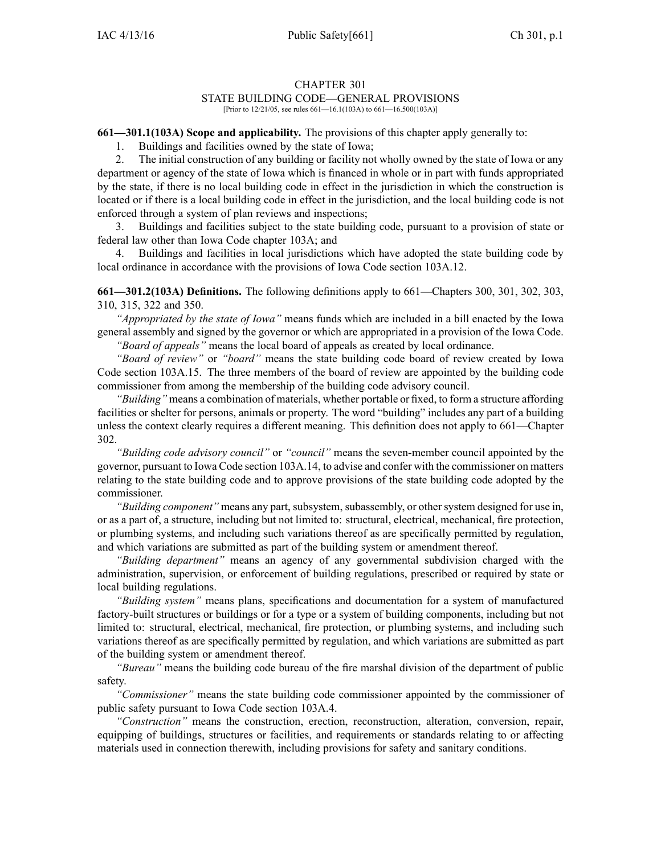## CHAPTER 301

## STATE BUILDING CODE—GENERAL PROVISIONS

[Prior to 12/21/05, see rules 661—16.1(103A) to 661—16.500(103A)]

**661—301.1(103A) Scope and applicability.** The provisions of this chapter apply generally to:

1. Buildings and facilities owned by the state of Iowa;

2. The initial construction of any building or facility not wholly owned by the state of Iowa or any department or agency of the state of Iowa which is financed in whole or in par<sup>t</sup> with funds appropriated by the state, if there is no local building code in effect in the jurisdiction in which the construction is located or if there is <sup>a</sup> local building code in effect in the jurisdiction, and the local building code is not enforced through <sup>a</sup> system of plan reviews and inspections;

3. Buildings and facilities subject to the state building code, pursuan<sup>t</sup> to <sup>a</sup> provision of state or federal law other than Iowa Code chapter [103A](https://www.legis.iowa.gov/docs/ico/chapter/103A.pdf); and

4. Buildings and facilities in local jurisdictions which have adopted the state building code by local ordinance in accordance with the provisions of Iowa Code section [103A.12](https://www.legis.iowa.gov/docs/ico/section/103A.12.pdf).

**661—301.2(103A) Definitions.** The following definitions apply to 661—Chapters 300, 301, 302, 303, 310, 315, 322 and 350.

*"Appropriated by the state of Iowa"* means funds which are included in <sup>a</sup> bill enacted by the Iowa general assembly and signed by the governor or which are appropriated in <sup>a</sup> provision of the Iowa Code. *"Board of appeals"* means the local board of appeals as created by local ordinance.

*"Board of review"* or *"board"* means the state building code board of review created by Iowa Code section [103A.15](https://www.legis.iowa.gov/docs/ico/section/103A.15.pdf). The three members of the board of review are appointed by the building code

commissioner from among the membership of the building code advisory council. *"Building"* means <sup>a</sup> combination of materials, whether portable or fixed, to form <sup>a</sup> structure affording facilities or shelter for persons, animals or property. The word "building" includes any par<sup>t</sup> of <sup>a</sup> building

unless the context clearly requires <sup>a</sup> different meaning. This definition does not apply to 661—Chapter 302.

*"Building code advisory council"* or *"council"* means the seven-member council appointed by the governor, pursuan<sup>t</sup> to Iowa Code section [103A.14](https://www.legis.iowa.gov/docs/ico/section/103A.14.pdf), to advise and confer with the commissioner on matters relating to the state building code and to approve provisions of the state building code adopted by the commissioner.

*"Building component"* means any part, subsystem, subassembly, or other system designed for use in, or as <sup>a</sup> par<sup>t</sup> of, <sup>a</sup> structure, including but not limited to: structural, electrical, mechanical, fire protection, or plumbing systems, and including such variations thereof as are specifically permitted by regulation, and which variations are submitted as par<sup>t</sup> of the building system or amendment thereof.

*"Building department"* means an agency of any governmental subdivision charged with the administration, supervision, or enforcement of building regulations, prescribed or required by state or local building regulations.

*"Building system"* means plans, specifications and documentation for <sup>a</sup> system of manufactured factory-built structures or buildings or for <sup>a</sup> type or <sup>a</sup> system of building components, including but not limited to: structural, electrical, mechanical, fire protection, or plumbing systems, and including such variations thereof as are specifically permitted by regulation, and which variations are submitted as par<sup>t</sup> of the building system or amendment thereof.

*"Bureau"* means the building code bureau of the fire marshal division of the department of public safety.

*"Commissioner"* means the state building code commissioner appointed by the commissioner of public safety pursuan<sup>t</sup> to Iowa Code section [103A.4](https://www.legis.iowa.gov/docs/ico/section/103A.4.pdf).

*"Construction"* means the construction, erection, reconstruction, alteration, conversion, repair, equipping of buildings, structures or facilities, and requirements or standards relating to or affecting materials used in connection therewith, including provisions for safety and sanitary conditions.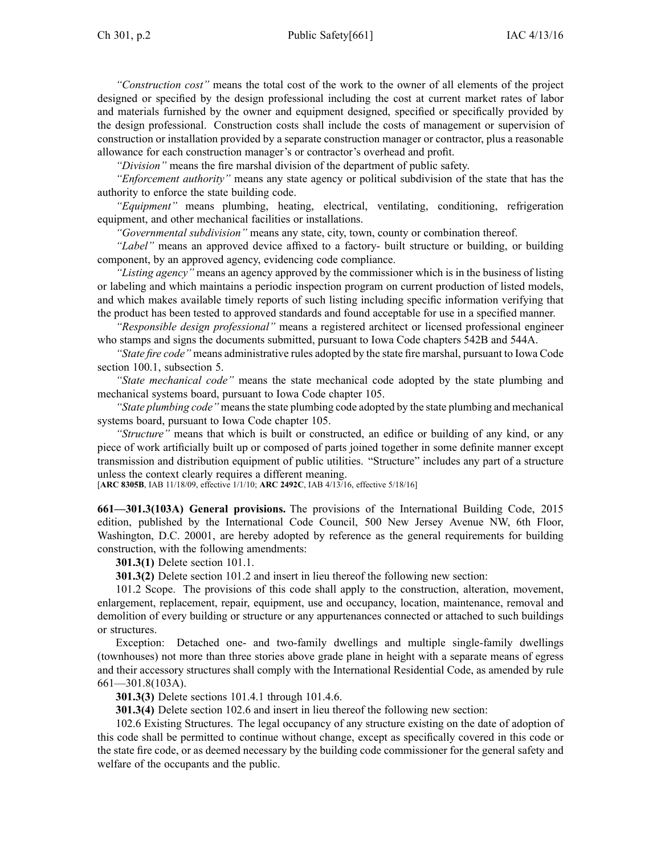*"Construction cost"* means the total cost of the work to the owner of all elements of the project designed or specified by the design professional including the cost at current market rates of labor and materials furnished by the owner and equipment designed, specified or specifically provided by the design professional. Construction costs shall include the costs of managemen<sup>t</sup> or supervision of construction or installation provided by <sup>a</sup> separate construction manager or contractor, plus <sup>a</sup> reasonable allowance for each construction manager's or contractor's overhead and profit.

*"Division"* means the fire marshal division of the department of public safety.

*"Enforcement authority"* means any state agency or political subdivision of the state that has the authority to enforce the state building code.

*"Equipment"* means plumbing, heating, electrical, ventilating, conditioning, refrigeration equipment, and other mechanical facilities or installations.

*"Governmental subdivision"* means any state, city, town, county or combination thereof.

*"Label"* means an approved device affixed to <sup>a</sup> factory- built structure or building, or building component, by an approved agency, evidencing code compliance.

*"Listing agency"* means an agency approved by the commissioner which is in the business of listing or labeling and which maintains <sup>a</sup> periodic inspection program on current production of listed models, and which makes available timely reports of such listing including specific information verifying that the product has been tested to approved standards and found acceptable for use in <sup>a</sup> specified manner.

*"Responsible design professional"* means <sup>a</sup> registered architect or licensed professional engineer who stamps and signs the documents submitted, pursuan<sup>t</sup> to Iowa Code chapters [542B](https://www.legis.iowa.gov/docs/ico/chapter/542B.pdf) and [544A](https://www.legis.iowa.gov/docs/ico/chapter/544A.pdf).

*"State fire code"* means administrative rules adopted by the state fire marshal, pursuan<sup>t</sup> to Iowa Code section 100.1, [subsection](https://www.legis.iowa.gov/docs/ico/section/100.1.pdf) 5.

*"State mechanical code"* means the state mechanical code adopted by the state plumbing and mechanical systems board, pursuan<sup>t</sup> to Iowa Code chapter [105](https://www.legis.iowa.gov/docs/ico/chapter/105.pdf).

*"State plumbing code"* meansthe state plumbing code adopted by the state plumbing and mechanical systems board, pursuan<sup>t</sup> to Iowa Code chapter [105](https://www.legis.iowa.gov/docs/ico/chapter/105.pdf).

*"Structure"* means that which is built or constructed, an edifice or building of any kind, or any piece of work artificially built up or composed of parts joined together in some definite manner excep<sup>t</sup> transmission and distribution equipment of public utilities. "Structure" includes any par<sup>t</sup> of <sup>a</sup> structure unless the context clearly requires <sup>a</sup> different meaning.

[**ARC 8305B**, IAB 11/18/09, effective 1/1/10; **ARC 2492C**, IAB 4/13/16, effective 5/18/16]

**661—301.3(103A) General provisions.** The provisions of the International Building Code, 2015 edition, published by the International Code Council, 500 New Jersey Avenue NW, 6th Floor, Washington, D.C. 20001, are hereby adopted by reference as the general requirements for building construction, with the following amendments:

**301.3(1)** Delete section 101.1.

**301.3(2)** Delete section 101.2 and insert in lieu thereof the following new section:

101.2 Scope. The provisions of this code shall apply to the construction, alteration, movement, enlargement, replacement, repair, equipment, use and occupancy, location, maintenance, removal and demolition of every building or structure or any appurtenances connected or attached to such buildings or structures.

Exception: Detached one- and two-family dwellings and multiple single-family dwellings (townhouses) not more than three stories above grade plane in height with <sup>a</sup> separate means of egress and their accessory structures shall comply with the International Residential Code, as amended by rule 661—301.8(103A).

**301.3(3)** Delete sections 101.4.1 through 101.4.6.

**301.3(4)** Delete section 102.6 and insert in lieu thereof the following new section:

102.6 Existing Structures. The legal occupancy of any structure existing on the date of adoption of this code shall be permitted to continue without change, excep<sup>t</sup> as specifically covered in this code or the state fire code, or as deemed necessary by the building code commissioner for the general safety and welfare of the occupants and the public.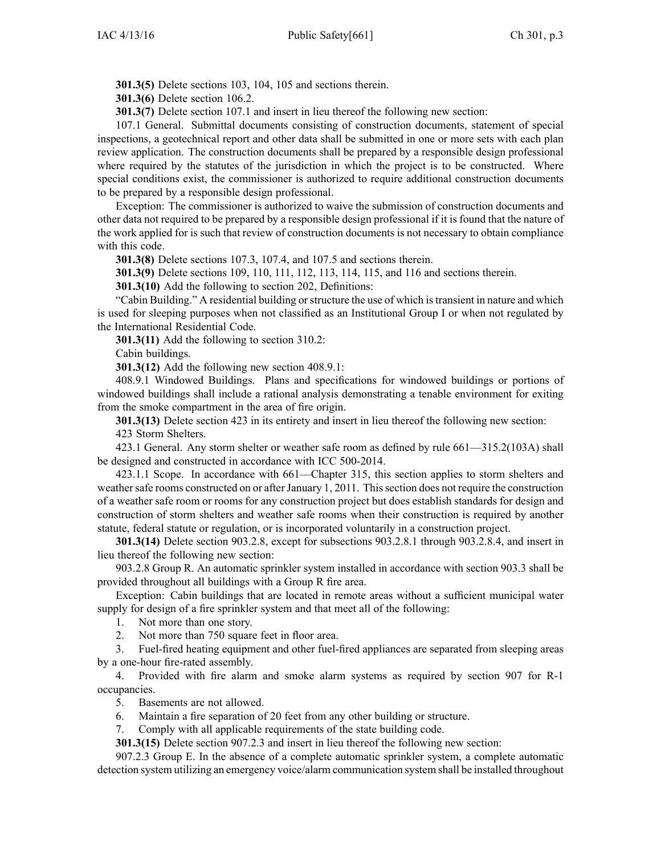**301.3(5)** Delete sections 103, 104, 105 and sections therein.

**301.3(6)** Delete section 106.2.

**301.3(7)** Delete section 107.1 and insert in lieu thereof the following new section:

107.1 General. Submittal documents consisting of construction documents, statement of special inspections, <sup>a</sup> geotechnical repor<sup>t</sup> and other data shall be submitted in one or more sets with each plan review application. The construction documents shall be prepared by <sup>a</sup> responsible design professional where required by the statutes of the jurisdiction in which the project is to be constructed. Where special conditions exist, the commissioner is authorized to require additional construction documents to be prepared by <sup>a</sup> responsible design professional.

Exception: The commissioner is authorized to waive the submission of construction documents and other data not required to be prepared by <sup>a</sup> responsible design professional if it is found that the nature of the work applied for is such that review of construction documents is not necessary to obtain compliance with this code.

**301.3(8)** Delete sections 107.3, 107.4, and 107.5 and sections therein.

**301.3(9)** Delete sections 109, 110, 111, 112, 113, 114, 115, and 116 and sections therein.

**301.3(10)** Add the following to section 202, Definitions:

"Cabin Building." A residential building or structure the use of which is transient in nature and which is used for sleeping purposes when not classified as an Institutional Group I or when not regulated by the International Residential Code.

**301.3(11)** Add the following to section 310.2:

Cabin buildings.

**301.3(12)** Add the following new section 408.9.1:

408.9.1 Windowed Buildings. Plans and specifications for windowed buildings or portions of windowed buildings shall include <sup>a</sup> rational analysis demonstrating <sup>a</sup> tenable environment for exiting from the smoke compartment in the area of fire origin.

**301.3(13)** Delete section 423 in its entirety and insert in lieu thereof the following new section: 423 Storm Shelters.

423.1 General. Any storm shelter or weather safe room as defined by rule 661—315.2(103A) shall be designed and constructed in accordance with ICC 500-2014.

423.1.1 Scope. In accordance with 661—Chapter 315, this section applies to storm shelters and weather safe rooms constructed on or after January 1, 2011. This section does not require the construction of <sup>a</sup> weather safe room or rooms for any construction project but does establish standards for design and construction of storm shelters and weather safe rooms when their construction is required by another statute, federal statute or regulation, or is incorporated voluntarily in <sup>a</sup> construction project.

**301.3(14)** Delete section 903.2.8, excep<sup>t</sup> for subsections 903.2.8.1 through 903.2.8.4, and insert in lieu thereof the following new section:

903.2.8 Group R. An automatic sprinkler system installed in accordance with section 903.3 shall be provided throughout all buildings with <sup>a</sup> Group R fire area.

Exception: Cabin buildings that are located in remote areas without <sup>a</sup> sufficient municipal water supply for design of <sup>a</sup> fire sprinkler system and that meet all of the following:

1. Not more than one story.

2. Not more than 750 square feet in floor area.

3. Fuel-fired heating equipment and other fuel-fired appliances are separated from sleeping areas by <sup>a</sup> one-hour fire-rated assembly.

4. Provided with fire alarm and smoke alarm systems as required by section 907 for R-1 occupancies.

5. Basements are not allowed.

6. Maintain <sup>a</sup> fire separation of 20 feet from any other building or structure.

7. Comply with all applicable requirements of the state building code.

**301.3(15)** Delete section 907.2.3 and insert in lieu thereof the following new section:

907.2.3 Group E. In the absence of <sup>a</sup> complete automatic sprinkler system, <sup>a</sup> complete automatic detection system utilizing an emergency voice/alarm communication system shall be installed throughout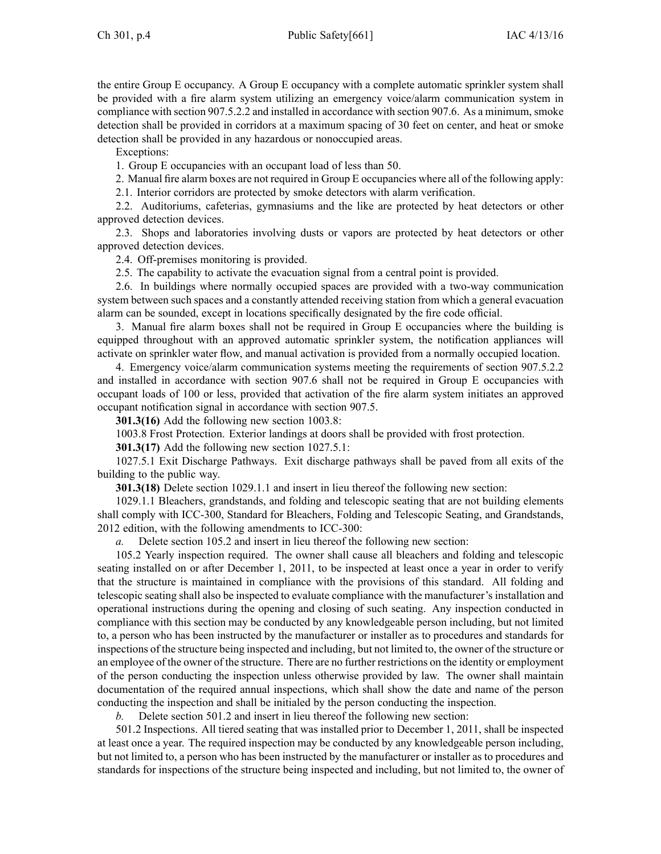the entire Group E occupancy. A Group E occupancy with <sup>a</sup> complete automatic sprinkler system shall be provided with <sup>a</sup> fire alarm system utilizing an emergency voice/alarm communication system in compliance with section 907.5.2.2 and installed in accordance with section 907.6. As <sup>a</sup> minimum, smoke detection shall be provided in corridors at <sup>a</sup> maximum spacing of 30 feet on center, and heat or smoke detection shall be provided in any hazardous or nonoccupied areas.

Exceptions:

1. Group E occupancies with an occupan<sup>t</sup> load of less than 50.

2. Manual fire alarm boxes are not required in Group E occupancies where all of the following apply:

2.1. Interior corridors are protected by smoke detectors with alarm verification.

2.2. Auditoriums, cafeterias, gymnasiums and the like are protected by heat detectors or other approved detection devices.

2.3. Shops and laboratories involving dusts or vapors are protected by heat detectors or other approved detection devices.

2.4. Off-premises monitoring is provided.

2.5. The capability to activate the evacuation signal from <sup>a</sup> central point is provided.

2.6. In buildings where normally occupied spaces are provided with <sup>a</sup> two-way communication system between such spaces and <sup>a</sup> constantly attended receiving station from which <sup>a</sup> general evacuation alarm can be sounded, excep<sup>t</sup> in locations specifically designated by the fire code official.

3. Manual fire alarm boxes shall not be required in Group E occupancies where the building is equipped throughout with an approved automatic sprinkler system, the notification appliances will activate on sprinkler water flow, and manual activation is provided from <sup>a</sup> normally occupied location.

4. Emergency voice/alarm communication systems meeting the requirements of section 907.5.2.2 and installed in accordance with section 907.6 shall not be required in Group E occupancies with occupan<sup>t</sup> loads of 100 or less, provided that activation of the fire alarm system initiates an approved occupan<sup>t</sup> notification signal in accordance with section 907.5.

**301.3(16)** Add the following new section 1003.8:

1003.8 Frost Protection. Exterior landings at doors shall be provided with frost protection.

**301.3(17)** Add the following new section 1027.5.1:

1027.5.1 Exit Discharge Pathways. Exit discharge pathways shall be paved from all exits of the building to the public way.

**301.3(18)** Delete section 1029.1.1 and insert in lieu thereof the following new section:

1029.1.1 Bleachers, grandstands, and folding and telescopic seating that are not building elements shall comply with ICC-300, Standard for Bleachers, Folding and Telescopic Seating, and Grandstands, 2012 edition, with the following amendments to ICC-300:

*a.* Delete section 105.2 and insert in lieu thereof the following new section:

105.2 Yearly inspection required. The owner shall cause all bleachers and folding and telescopic seating installed on or after December 1, 2011, to be inspected at least once <sup>a</sup> year in order to verify that the structure is maintained in compliance with the provisions of this standard. All folding and telescopic seating shall also be inspected to evaluate compliance with the manufacturer's installation and operational instructions during the opening and closing of such seating. Any inspection conducted in compliance with this section may be conducted by any knowledgeable person including, but not limited to, <sup>a</sup> person who has been instructed by the manufacturer or installer as to procedures and standards for inspections of the structure being inspected and including, but not limited to, the owner of the structure or an employee of the owner of the structure. There are no further restrictions on the identity or employment of the person conducting the inspection unless otherwise provided by law. The owner shall maintain documentation of the required annual inspections, which shall show the date and name of the person conducting the inspection and shall be initialed by the person conducting the inspection.

*b.* Delete section 501.2 and insert in lieu thereof the following new section:

501.2 Inspections. All tiered seating that was installed prior to December 1, 2011, shall be inspected at least once <sup>a</sup> year. The required inspection may be conducted by any knowledgeable person including, but not limited to, <sup>a</sup> person who has been instructed by the manufacturer or installer as to procedures and standards for inspections of the structure being inspected and including, but not limited to, the owner of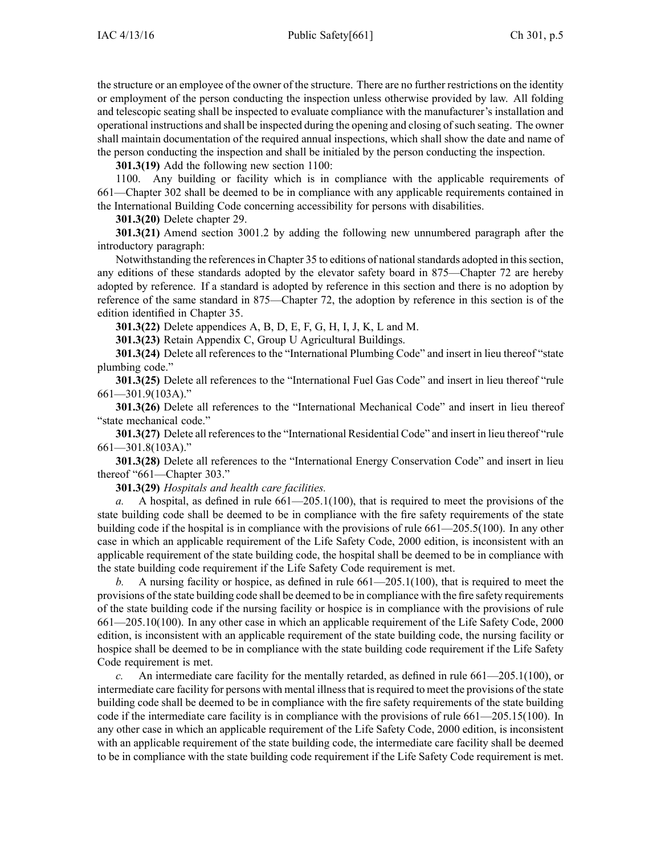the structure or an employee of the owner of the structure. There are no further restrictions on the identity or employment of the person conducting the inspection unless otherwise provided by law. All folding and telescopic seating shall be inspected to evaluate compliance with the manufacturer's installation and operational instructions and shall be inspected during the opening and closing ofsuch seating. The owner shall maintain documentation of the required annual inspections, which shall show the date and name of the person conducting the inspection and shall be initialed by the person conducting the inspection.

**301.3(19)** Add the following new section 1100:

1100. Any building or facility which is in compliance with the applicable requirements of 661—Chapter 302 shall be deemed to be in compliance with any applicable requirements contained in the International Building Code concerning accessibility for persons with disabilities.

**301.3(20)** Delete chapter 29.

**301.3(21)** Amend section 3001.2 by adding the following new unnumbered paragraph after the introductory paragraph:

Notwithstanding the referencesin Chapter 35 to editions of nationalstandards adopted in thissection, any editions of these standards adopted by the elevator safety board in 875—Chapter 72 are hereby adopted by reference. If <sup>a</sup> standard is adopted by reference in this section and there is no adoption by reference of the same standard in 875—Chapter 72, the adoption by reference in this section is of the edition identified in Chapter 35.

**301.3(22)** Delete appendices A, B, D, E, F, G, H, I, J, K, L and M.

**301.3(23)** Retain Appendix C, Group U Agricultural Buildings.

**301.3(24)** Delete all references to the "International Plumbing Code" and insert in lieu thereof "state plumbing code."

**301.3(25)** Delete all references to the "International Fuel Gas Code" and insert in lieu thereof "rule 661—301.9(103A)."

**301.3(26)** Delete all references to the "International Mechanical Code" and insert in lieu thereof "state mechanical code."

**301.3(27)** Delete all references to the "International Residential Code" and insert in lieu thereof "rule" 661—301.8(103A)."

**301.3(28)** Delete all references to the "International Energy Conservation Code" and insert in lieu thereof "661—Chapter 303."

**301.3(29)** *Hospitals and health care facilities.*

*a.* A hospital, as defined in rule 661—205.1(100), that is required to meet the provisions of the state building code shall be deemed to be in compliance with the fire safety requirements of the state building code if the hospital is in compliance with the provisions of rule 661—205.5(100). In any other case in which an applicable requirement of the Life Safety Code, 2000 edition, is inconsistent with an applicable requirement of the state building code, the hospital shall be deemed to be in compliance with the state building code requirement if the Life Safety Code requirement is met.

*b.* A nursing facility or hospice, as defined in rule 661—205.1(100), that is required to meet the provisions of the state building code shall be deemed to be in compliance with the fire safety requirements of the state building code if the nursing facility or hospice is in compliance with the provisions of rule 661—205.10(100). In any other case in which an applicable requirement of the Life Safety Code, 2000 edition, is inconsistent with an applicable requirement of the state building code, the nursing facility or hospice shall be deemed to be in compliance with the state building code requirement if the Life Safety Code requirement is met.

*c.* An intermediate care facility for the mentally retarded, as defined in rule 661—205.1(100), or intermediate care facility for persons with mental illnessthat isrequired to meet the provisions of the state building code shall be deemed to be in compliance with the fire safety requirements of the state building code if the intermediate care facility is in compliance with the provisions of rule 661—205.15(100). In any other case in which an applicable requirement of the Life Safety Code, 2000 edition, is inconsistent with an applicable requirement of the state building code, the intermediate care facility shall be deemed to be in compliance with the state building code requirement if the Life Safety Code requirement is met.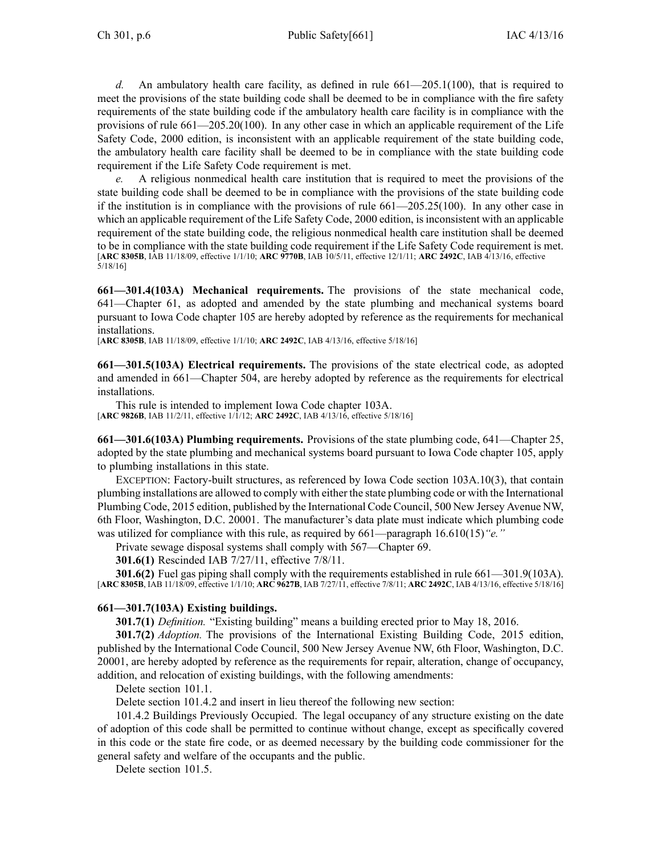*d.* An ambulatory health care facility, as defined in rule 661—205.1(100), that is required to meet the provisions of the state building code shall be deemed to be in compliance with the fire safety requirements of the state building code if the ambulatory health care facility is in compliance with the provisions of rule 661—205.20(100). In any other case in which an applicable requirement of the Life Safety Code, 2000 edition, is inconsistent with an applicable requirement of the state building code, the ambulatory health care facility shall be deemed to be in compliance with the state building code requirement if the Life Safety Code requirement is met.

*e.* A religious nonmedical health care institution that is required to meet the provisions of the state building code shall be deemed to be in compliance with the provisions of the state building code if the institution is in compliance with the provisions of rule 661—205.25(100). In any other case in which an applicable requirement of the Life Safety Code, 2000 edition, is inconsistent with an applicable requirement of the state building code, the religious nonmedical health care institution shall be deemed to be in compliance with the state building code requirement if the Life Safety Code requirement is met. [**ARC 8305B**, IAB 11/18/09, effective 1/1/10; **ARC 9770B**, IAB 10/5/11, effective 12/1/11; **ARC 2492C**, IAB 4/13/16, effective 5/18/16]

**661—301.4(103A) Mechanical requirements.** The provisions of the state mechanical code, 641—Chapter 61, as adopted and amended by the state plumbing and mechanical systems board pursuan<sup>t</sup> to Iowa Code chapter [105](https://www.legis.iowa.gov/docs/ico/chapter/105.pdf) are hereby adopted by reference as the requirements for mechanical installations.

[**ARC 8305B**, IAB 11/18/09, effective 1/1/10; **ARC 2492C**, IAB 4/13/16, effective 5/18/16]

**661—301.5(103A) Electrical requirements.** The provisions of the state electrical code, as adopted and amended in 661—Chapter 504, are hereby adopted by reference as the requirements for electrical installations.

This rule is intended to implement Iowa Code chapter [103A](https://www.legis.iowa.gov/docs/ico/chapter/103A.pdf). [**ARC 9826B**, IAB 11/2/11, effective 1/1/12; **ARC 2492C**, IAB 4/13/16, effective 5/18/16]

**661—301.6(103A) Plumbing requirements.** Provisions of the state plumbing code, 641—Chapter 25, adopted by the state plumbing and mechanical systems board pursuan<sup>t</sup> to Iowa Code chapter [105](https://www.legis.iowa.gov/docs/ico/chapter/105.pdf), apply to plumbing installations in this state.

EXCEPTION: Factory-built structures, as referenced by Iowa Code section [103A.10\(3\)](https://www.legis.iowa.gov/docs/ico/section/103A.10.pdf), that contain plumbing installations are allowed to comply with either the state plumbing code or with the International Plumbing Code, 2015 edition, published by the International Code Council, 500 New Jersey Avenue NW, 6th Floor, Washington, D.C. 20001. The manufacturer's data plate must indicate which plumbing code was utilized for compliance with this rule, as required by 661—paragraph 16.610(15)*"e."*

Private sewage disposal systems shall comply with 567—Chapter 69.

**301.6(1)** Rescinded IAB [7/27/11](https://www.legis.iowa.gov/docs/aco/bulletin/07-27-2011.pdf), effective 7/8/11.

**301.6(2)** Fuel gas piping shall comply with the requirements established in rule 661—301.9(103A). [**ARC 8305B**, IAB 11/18/09, effective 1/1/10; **ARC 9627B**, IAB 7/27/11, effective 7/8/11; **ARC 2492C**, IAB 4/13/16, effective 5/18/16]

## **661—301.7(103A) Existing buildings.**

**301.7(1)** *Definition.* "Existing building" means <sup>a</sup> building erected prior to May 18, 2016.

**301.7(2)** *Adoption.* The provisions of the International Existing Building Code, 2015 edition, published by the International Code Council, 500 New Jersey Avenue NW, 6th Floor, Washington, D.C. 20001, are hereby adopted by reference as the requirements for repair, alteration, change of occupancy, addition, and relocation of existing buildings, with the following amendments:

Delete section 101.1.

Delete section 101.4.2 and insert in lieu thereof the following new section:

101.4.2 Buildings Previously Occupied. The legal occupancy of any structure existing on the date of adoption of this code shall be permitted to continue without change, excep<sup>t</sup> as specifically covered in this code or the state fire code, or as deemed necessary by the building code commissioner for the general safety and welfare of the occupants and the public.

Delete section 101.5.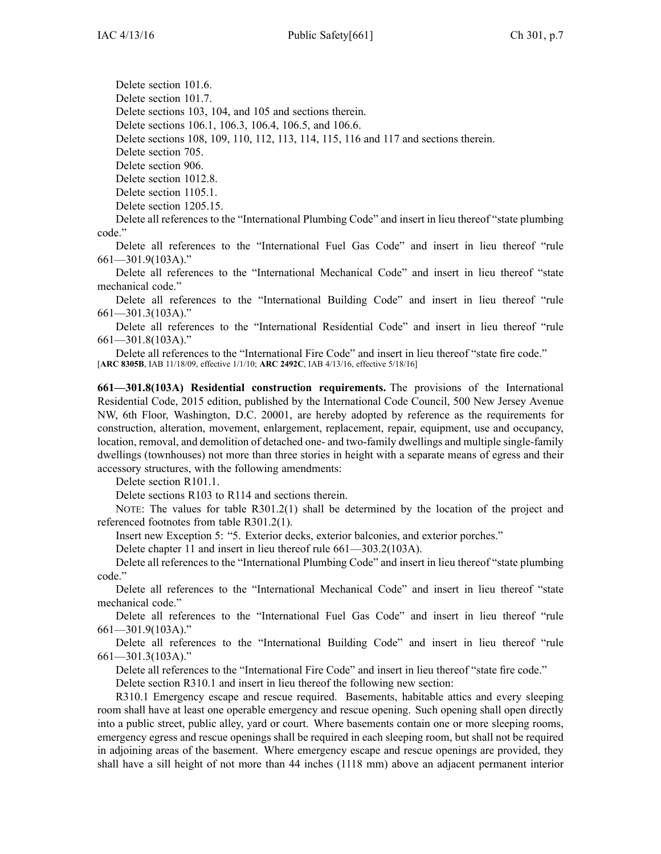Delete section 101.6.

Delete section 101.7.

Delete sections 103, 104, and 105 and sections therein.

Delete sections 106.1, 106.3, 106.4, 106.5, and 106.6.

Delete sections 108, 109, 110, 112, 113, 114, 115, 116 and 117 and sections therein.

Delete section 705.

Delete section 906.

Delete section 1012.8. Delete section 1105.1.

Delete section 1205.15.

Delete all references to the "International Plumbing Code" and insert in lieu thereof "state plumbing code."

Delete all references to the "International Fuel Gas Code" and insert in lieu thereof "rule 661—301.9(103A)."

Delete all references to the "International Mechanical Code" and insert in lieu thereof "state mechanical code."

Delete all references to the "International Building Code" and insert in lieu thereof "rule 661—301.3(103A)."

Delete all references to the "International Residential Code" and insert in lieu thereof "rule 661—301.8(103A)."

Delete all references to the "International Fire Code" and insert in lieu thereof "state fire code."

[**ARC 8305B**, IAB 11/18/09, effective 1/1/10; **ARC 2492C**, IAB 4/13/16, effective 5/18/16]

**661—301.8(103A) Residential construction requirements.** The provisions of the International Residential Code, 2015 edition, published by the International Code Council, 500 New Jersey Avenue NW, 6th Floor, Washington, D.C. 20001, are hereby adopted by reference as the requirements for construction, alteration, movement, enlargement, replacement, repair, equipment, use and occupancy, location, removal, and demolition of detached one- and two-family dwellings and multiple single-family dwellings (townhouses) not more than three stories in height with <sup>a</sup> separate means of egress and their accessory structures, with the following amendments:

Delete section R101.1.

Delete sections R103 to R114 and sections therein.

NOTE: The values for table R301.2(1) shall be determined by the location of the project and referenced footnotes from table R301.2(1).

Insert new Exception 5: "5. Exterior decks, exterior balconies, and exterior porches."

Delete chapter 11 and insert in lieu thereof rule 661—303.2(103A).

Delete all references to the "International Plumbing Code" and insert in lieu thereof "state plumbing code."

Delete all references to the "International Mechanical Code" and insert in lieu thereof "state mechanical code."

Delete all references to the "International Fuel Gas Code" and insert in lieu thereof "rule 661—301.9(103A)."

Delete all references to the "International Building Code" and insert in lieu thereof "rule 661—301.3(103A)."

Delete all references to the "International Fire Code" and insert in lieu thereof "state fire code."

Delete section R310.1 and insert in lieu thereof the following new section:

R310.1 Emergency escape and rescue required. Basements, habitable attics and every sleeping room shall have at least one operable emergency and rescue opening. Such opening shall open directly into <sup>a</sup> public street, public alley, yard or court. Where basements contain one or more sleeping rooms, emergency egress and rescue openings shall be required in each sleeping room, but shall not be required in adjoining areas of the basement. Where emergency escape and rescue openings are provided, they shall have <sup>a</sup> sill height of not more than 44 inches (1118 mm) above an adjacent permanen<sup>t</sup> interior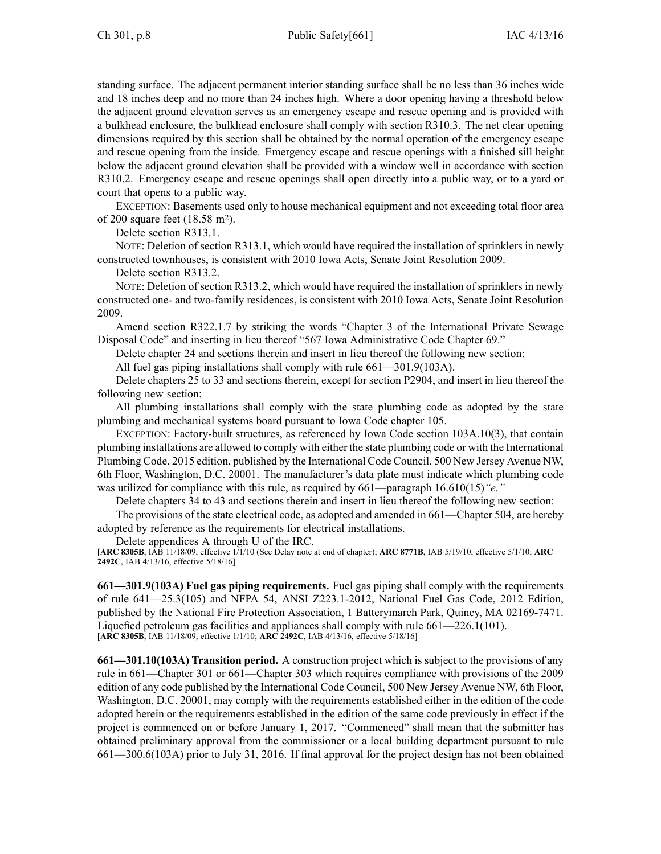standing surface. The adjacent permanen<sup>t</sup> interior standing surface shall be no less than 36 inches wide and 18 inches deep and no more than 24 inches high. Where <sup>a</sup> door opening having <sup>a</sup> threshold below the adjacent ground elevation serves as an emergency escape and rescue opening and is provided with <sup>a</sup> bulkhead enclosure, the bulkhead enclosure shall comply with section R310.3. The net clear opening dimensions required by this section shall be obtained by the normal operation of the emergency escape and rescue opening from the inside. Emergency escape and rescue openings with <sup>a</sup> finished sill height below the adjacent ground elevation shall be provided with <sup>a</sup> window well in accordance with section R310.2. Emergency escape and rescue openings shall open directly into <sup>a</sup> public way, or to <sup>a</sup> yard or court that opens to <sup>a</sup> public way.

EXCEPTION: Basements used only to house mechanical equipment and not exceeding total floor area of 200 square feet (18.58 <sup>m</sup><sup>2</sup> ).

Delete section R313.1.

NOTE: Deletion of section R313.1, which would have required the installation of sprinklers in newly constructed townhouses, is consistent with 2010 Iowa Acts, Senate Joint Resolution 2009.

Delete section R313.2.

NOTE: Deletion of section R313.2, which would have required the installation of sprinklers in newly constructed one- and two-family residences, is consistent with 2010 Iowa Acts, Senate Joint Resolution 2009.

Amend section R322.1.7 by striking the words "Chapter 3 of the International Private Sewage Disposal Code" and inserting in lieu thereof "567 Iowa Administrative Code Chapter 69."

Delete chapter 24 and sections therein and insert in lieu thereof the following new section:

All fuel gas piping installations shall comply with rule 661—301.9(103A).

Delete chapters 25 to 33 and sections therein, excep<sup>t</sup> for section P2904, and insert in lieu thereof the following new section:

All plumbing installations shall comply with the state plumbing code as adopted by the state plumbing and mechanical systems board pursuan<sup>t</sup> to Iowa Code chapter [105](https://www.legis.iowa.gov/docs/ico/chapter/105.pdf).

EXCEPTION: Factory-built structures, as referenced by Iowa Code section [103A.10\(3\)](https://www.legis.iowa.gov/docs/ico/section/103A.10.pdf), that contain plumbing installations are allowed to comply with either the state plumbing code or with the International Plumbing Code, 2015 edition, published by the International Code Council, 500 New Jersey Avenue NW, 6th Floor, Washington, D.C. 20001. The manufacturer's data plate must indicate which plumbing code was utilized for compliance with this rule, as required by 661—paragraph 16.610(15)*"e."*

Delete chapters 34 to 43 and sections therein and insert in lieu thereof the following new section:

The provisions of the state electrical code, as adopted and amended in 661—Chapter 504, are hereby adopted by reference as the requirements for electrical installations.

Delete appendices A through U of the IRC.

[**ARC 8305B**, IAB 11/18/09, effective 1/1/10 (See Delay note at end of chapter); **ARC 8771B**, IAB 5/19/10, effective 5/1/10; **ARC 2492C**, IAB 4/13/16, effective 5/18/16]

**661—301.9(103A) Fuel gas piping requirements.** Fuel gas piping shall comply with the requirements of rule 641—25.3(105) and NFPA 54, ANSI Z223.1-2012, National Fuel Gas Code, 2012 Edition, published by the National Fire Protection Association, 1 Batterymarch Park, Quincy, MA 02169-7471. Liquefied petroleum gas facilities and appliances shall comply with rule 661—226.1(101). [**ARC 8305B**, IAB 11/18/09, effective 1/1/10; **ARC 2492C**, IAB 4/13/16, effective 5/18/16]

**661—301.10(103A) Transition period.** A construction project which is subject to the provisions of any rule in 661—Chapter 301 or 661—Chapter 303 which requires compliance with provisions of the 2009 edition of any code published by the International Code Council, 500 New Jersey Avenue NW, 6th Floor, Washington, D.C. 20001, may comply with the requirements established either in the edition of the code adopted herein or the requirements established in the edition of the same code previously in effect if the project is commenced on or before January 1, 2017. "Commenced" shall mean that the submitter has obtained preliminary approval from the commissioner or <sup>a</sup> local building department pursuan<sup>t</sup> to rule 661—300.6(103A) prior to July 31, 2016. If final approval for the project design has not been obtained